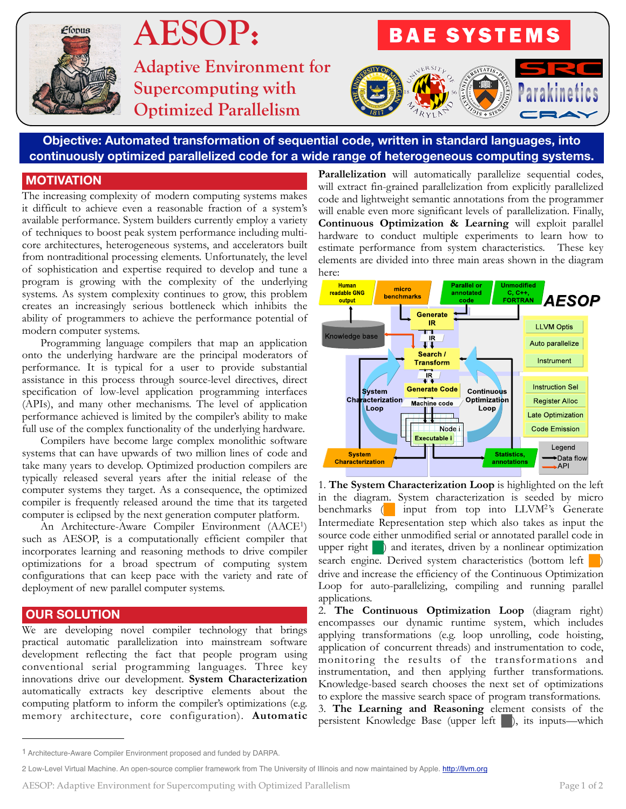

# **AESOP:**

**Adaptive Environment for Supercomputing with Optimized Parallelism**



## **Objective: Automated transformation of sequential code, written in standard languages, into continuously optimized parallelized code for a wide range of heterogeneous computing systems.**

#### **MOTIVATION**

The increasing complexity of modern computing systems makes it difficult to achieve even a reasonable fraction of a system's available performance. System builders currently employ a variety of techniques to boost peak system performance including multicore architectures, heterogeneous systems, and accelerators built from nontraditional processing elements. Unfortunately, the level of sophistication and expertise required to develop and tune a program is growing with the complexity of the underlying systems. As system complexity continues to grow, this problem creates an increasingly serious bottleneck which inhibits the ability of programmers to achieve the performance potential of modern computer systems.

Programming language compilers that map an application onto the underlying hardware are the principal moderators of performance. It is typical for a user to provide substantial assistance in this process through source-level directives, direct specification of low-level application programming interfaces (APIs), and many other mechanisms. The level of application performance achieved is limited by the compiler's ability to make full use of the complex functionality of the underlying hardware.

Compilers have become large complex monolithic software systems that can have upwards of two million lines of code and take many years to develop. Optimized production compilers are typically released several years after the initial release of the computer systems they target. As a consequence, the optimized compiler is frequently released around the time that its targeted computer is eclipsed by the next generation computer platform.

An Architecture-Aware Compiler Environment (AACE[1](#page-0-0)) such as AESOP, is a computationally efficient compiler that incorporates learning and reasoning methods to drive compiler optimizations for a broad spectrum of computing system configurations that can keep pace with the variety and rate of deployment of new parallel computer systems.

## **OUR SOLUTION**

We are developing novel compiler technology that brings practical automatic parallelization into mainstream software development reflecting the fact that people program using conventional serial programming languages. Three key innovations drive our development. **System Characterization**  automatically extracts key descriptive elements about the computing platform to inform the compiler's optimizations (e.g. memory architecture, core configuration). **Automatic** 

**Parallelization** will automatically parallelize sequential codes, will extract fin-grained parallelization from explicitly parallelized code and lightweight semantic annotations from the programmer will enable even more significant levels of parallelization. Finally, **Continuous Optimization & Learning** will exploit parallel hardware to conduct multiple experiments to learn how to estimate performance from system characteristics. These key elements are divided into three main areas shown in the diagram here:



1. **The System Characterization Loop** is highlighted on the left in the diagram. System characterization is seeded by micro benchmarks  $\left( \right)$  input from top into LLVM<sup>2</sup>'s Generate Intermediate Representation step which also takes as input the source code either unmodified serial or annotated parallel code in upper right  $\Box$ ) and iterates, driven by a nonlinear optimization search engine. Derived system characteristics (bottom left drive and increase the efficiency of the Continuous Optimization Loop for auto-parallelizing, compiling and running parallel applications.

2. **The Continuous Optimization Loop** (diagram right) encompasses our dynamic runtime system, which includes applying transformations (e.g. loop unrolling, code hoisting, application of concurrent threads) and instrumentation to code, monitoring the results of the transformations and instrumentation, and then applying further transformations. Knowledge-based search chooses the next set of optimizations to explore the massive search space of program transformations. 3. **The Learning and Reasoning** element consists of the persistent Knowledge Base (upper left ), its inputs—which

<span id="page-0-0"></span><sup>1</sup> Architecture-Aware Compiler Environment proposed and funded by DARPA.

<span id="page-0-1"></span><sup>2</sup> Low-Level Virtual Machine. An open-source complier framework from The University of Illinois and now maintained by Apple.<http://llvm.org>

AESOP: Adaptive Environment for Supercomputing with Optimized Parallelism Page 1 of 2